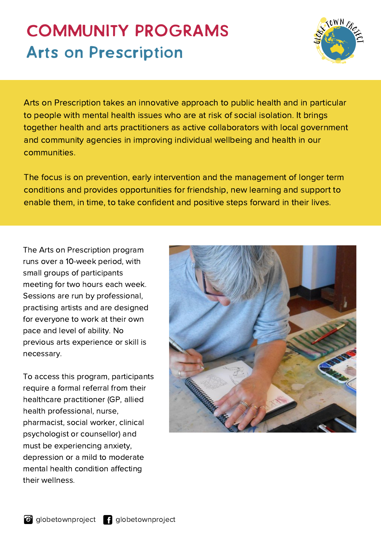## **COMMUNITY PROGRAMS Arts on Prescription**



Arts on Prescription takes an innovative approach to public health and in particular to people with mental health issues who are at risk of social isolation. It brings together health and arts practitioners as active collaborators with local government and community agencies in improving individual wellbeing and health in our communities.

The focus is on prevention, early intervention and the management of longer term conditions and provides opportunities for friendship, new learning and support to enable them, in time, to take confident and positive steps forward in their lives.

The Arts on Prescription program runs over a 10-week period, with small groups of participants meeting for two hours each week. Sessions are run by professional, practising artists and are designed for everyone to work at their own pace and level of ability. No previous arts experience or skill is necessary.

To access this program, participants require a formal referral from their healthcare practitioner (GP, allied health professional, nurse, pharmacist, social worker, clinical psychologist or counsellor) and must be experiencing anxiety, depression or a mild to moderate mental health condition affecting their wellness.